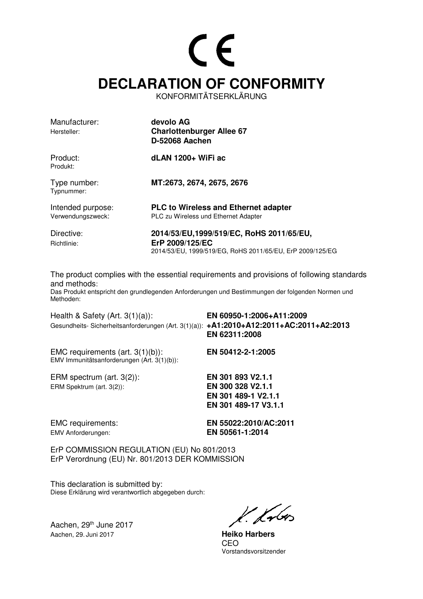# CE **DECLARATION OF CONFORMITY**

KONFORMITÄTSERKLÄRUNG

| Manufacturer:<br>Hersteller:           | devolo AG<br><b>Charlottenburger Allee 67</b><br><b>D-52068 Aachen</b>                                                   |
|----------------------------------------|--------------------------------------------------------------------------------------------------------------------------|
| Product:<br>Produkt:                   | dLAN 1200+ WiFi ac                                                                                                       |
| Type number:<br>Typnummer:             | MT:2673, 2674, 2675, 2676                                                                                                |
| Intended purpose:<br>Verwendungszweck: | <b>PLC to Wireless and Ethernet adapter</b><br>PLC zu Wireless und Ethernet Adapter                                      |
| Directive:<br>Richtlinie:              | 2014/53/EU,1999/519/EC, RoHS 2011/65/EU,<br>ErP 2009/125/EC<br>2014/53/EU, 1999/519/EG, RoHS 2011/65/EU, ErP 2009/125/EG |

The product complies with the essential requirements and provisions of following standards and methods:

Das Produkt entspricht den grundlegenden Anforderungen und Bestimmungen der folgenden Normen und Methoden:

Health & Safety (Art. 3(1)(a)): **EN 60950-1:2006+A11:2009**  Gesundheits- Sicherheitsanforderungen (Art. 3(1)(a)): **+A1:2010+A12:2011+AC:2011+A2:2013 EN 62311:2008** EMC requirements (art. 3(1)(b)): **EN 50412-2-1:2005**  EMV Immunitätsanforderungen (Art. 3(1)(b)): ERM spectrum (art. 3(2)): **EN 301 893 V2.1.1**  ERM Spektrum (art. 3(2)): **EN 300 328 V2.1.1 EN 301 489-1 V2.1.1 EN 301 489-17 V3.1.1**

EMV Anforderungen: **EN 50561-1:2014** 

EMC requirements: **EN 55022:2010/AC:2011**

ErP COMMISSION REGULATION (EU) No 801/2013 ErP Verordnung (EU) Nr. 801/2013 DER KOMMISSION

This declaration is submitted by: Diese Erklärung wird verantwortlich abgegeben durch:

Aachen, 29<sup>th</sup> June 2017 Aachen, 29. Juni 2017 **Heiko Harbers**

k. Kr6

**CEO CEO** Vorstandsvorsitzender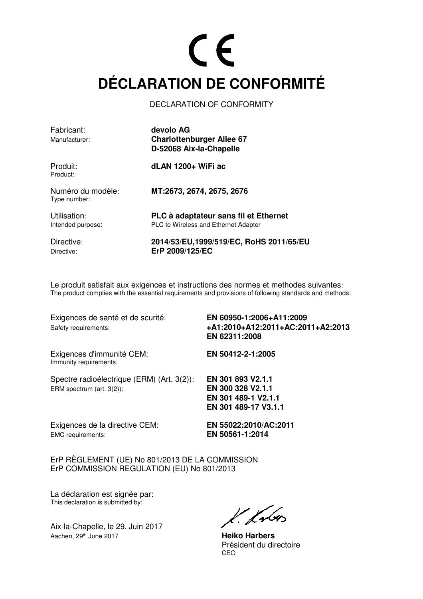## $C \in$ **DÉCLARATION DE CONFORMITÉ**

DECLARATION OF CONFORMITY

| Fabricant:<br>Manufacturer:       | devolo AG<br><b>Charlottenburger Allee 67</b><br>D-52068 Aix-la-Chapelle      |
|-----------------------------------|-------------------------------------------------------------------------------|
| Produit:<br>Product:              | dLAN 1200+ WiFi ac                                                            |
| Numéro du modèle:<br>Type number: | MT:2673, 2674, 2675, 2676                                                     |
| Utilisation:<br>Intended purpose: | PLC à adaptateur sans fil et Ethernet<br>PLC to Wireless and Ethernet Adapter |
| Directive:<br>Directive:          | 2014/53/EU,1999/519/EC, RoHS 2011/65/EU<br>ErP 2009/125/EC                    |

Le produit satisfait aux exigences et instructions des normes et methodes suivantes: The product complies with the essential requirements and provisions of following standards and methods:

| Exigences de santé et de scurité:<br>Safety requirements:               | EN 60950-1:2006+A11:2009<br>+A1:2010+A12:2011+AC:2011+A2:2013<br>EN 62311:2008        |
|-------------------------------------------------------------------------|---------------------------------------------------------------------------------------|
| Exigences d'immunité CEM:<br>Immunity requirements:                     | EN 50412-2-1:2005                                                                     |
| Spectre radioélectrique (ERM) (Art. 3(2)):<br>ERM spectrum (art. 3(2)): | EN 301 893 V2.1.1<br>EN 300 328 V2.1.1<br>EN 301 489-1 V2.1.1<br>EN 301 489-17 V3.1.1 |
| Exigences de la directive CEM:<br><b>EMC</b> requirements:              | EN 55022:2010/AC:2011<br>EN 50561-1:2014                                              |

ErP RÈGLEMENT (UE) No 801/2013 DE LA COMMISSION ErP COMMISSION REGULATION (EU) No 801/2013

La déclaration est signée par: This declaration is submitted by:

Aix-la-Chapelle, le 29. Juin 2017 Aachen, 29<sup>th</sup> June 2017 **Heiko Harbers** 

K. Krbos

 Président du directoire <u>CEO de la contrada de la contrada de la contrada de la contrada de la contrada de la contrada de la con</u>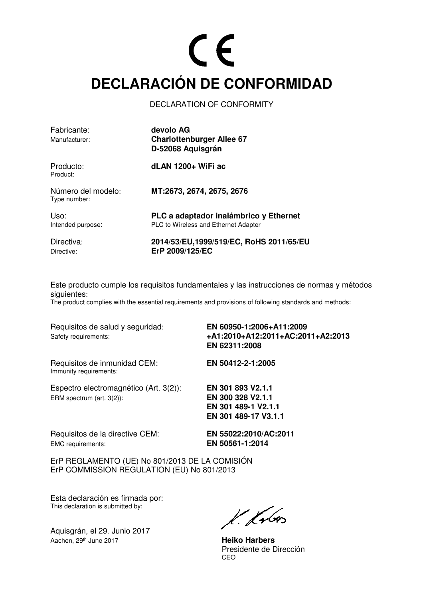## CE **DECLARACIÓN DE CONFORMIDAD**

DECLARATION OF CONFORMITY

| Fabricante:<br>Manufacturer:       | devolo AG<br><b>Charlottenburger Allee 67</b><br>D-52068 Aquisgrán                    |
|------------------------------------|---------------------------------------------------------------------------------------|
| Producto:<br>Product:              | dLAN 1200+ WiFi ac                                                                    |
| Número del modelo:<br>Type number: | MT:2673, 2674, 2675, 2676                                                             |
| Uso:<br>Intended purpose:          | PLC a adaptador inalámbrico y Ethernet<br><b>PLC to Wireless and Ethernet Adapter</b> |
| Directiva:<br>Directive:           | 2014/53/EU,1999/519/EC, RoHS 2011/65/EU<br>ErP 2009/125/EC                            |

Este producto cumple los requisitos fundamentales y las instrucciones de normas y métodos siguientes:

The product complies with the essential requirements and provisions of following standards and methods:

Requisitos de salud y seguridad: **EN 60950-1:2006+A11:2009**  Safety requirements: **+A1:2010+A12:2011+AC:2011+A2:2013**

Requisitos de inmunidad CEM: **EN 50412-2-1:2005**  Immunity requirements:

 **EN 62311:2008**

Espectro electromagnético (Art. 3(2)): **EN 301 893 V2.1.1** 

**EN 301 489-1 V2.1.1 EN 301 489-17 V3.1.1**

Requisitos de la directive CEM: **EN 55022:2010/AC:2011** EMC requirements: **EN 50561-1:2014** 

ErP REGLAMENTO (UE) No 801/2013 DE LA COMISIÓN ErP COMMISSION REGULATION (EU) No 801/2013

ERM spectrum (art. 3(2)): **EN 300 328 V2.1.1** 

Esta declaración es firmada por: This declaration is submitted by:

Aquisgrán, el 29. Junio 2017 Aachen, 29th June 2017 **Heiko Harbers**

 $k$  krón

Presidente de Dirección<br>CEO <u>CEO de la contrada de la contrada de la contrada de la contrada de la contrada de la contrada de la con</u>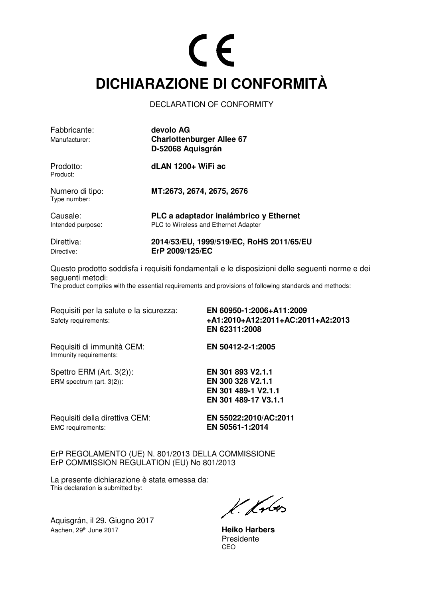## $\epsilon$ **DICHIARAZIONE DI CONFORMITÀ**

DECLARATION OF CONFORMITY

| Fabbricante:<br>Manufacturer:   | devolo AG<br><b>Charlottenburger Allee 67</b><br>D-52068 Aquisgrán             |
|---------------------------------|--------------------------------------------------------------------------------|
| Prodotto:<br>Product:           | dLAN 1200+ WiFi ac                                                             |
| Numero di tipo:<br>Type number: | MT:2673, 2674, 2675, 2676                                                      |
| Causale:<br>Intended purpose:   | PLC a adaptador inalámbrico y Ethernet<br>PLC to Wireless and Ethernet Adapter |
| Direttiva:<br>Directive:        | 2014/53/EU, 1999/519/EC, RoHS 2011/65/EU<br>ErP 2009/125/EC                    |

Questo prodotto soddisfa i requisiti fondamentali e le disposizioni delle seguenti norme e dei seguenti metodi:

The product complies with the essential requirements and provisions of following standards and methods:

| Requisiti per la salute e la sicurezza:<br>Safety requirements: | EN 60950-1:2006+A11:2009<br>+A1:2010+A12:2011+AC:2011+A2:2013<br>EN 62311:2008        |
|-----------------------------------------------------------------|---------------------------------------------------------------------------------------|
| Requisiti di immunità CEM:<br>Immunity requirements:            | EN 50412-2-1:2005                                                                     |
| Spettro ERM $(Art. 3(2))$ :<br>ERM spectrum (art. 3(2)):        | EN 301 893 V2.1.1<br>EN 300 328 V2.1.1<br>EN 301 489-1 V2.1.1<br>EN 301 489-17 V3.1.1 |
| Requisiti della direttiva CEM:<br>EMC requirements:             | EN 55022:2010/AC:2011<br>EN 50561-1:2014                                              |

ErP REGOLAMENTO (UE) N. 801/2013 DELLA COMMISSIONE ErP COMMISSION REGULATION (EU) No 801/2013

La presente dichiarazione è stata emessa da: This declaration is submitted by:

Aquisgrán, il 29. Giugno 2017 Aachen, 29<sup>th</sup> June 2017 **Heiko Harbers** 

 $k$  krbs

 Presidente <u>CEO de la contrada de la contrada de la contrada de la contrada de la contrada de la contrada de la con</u>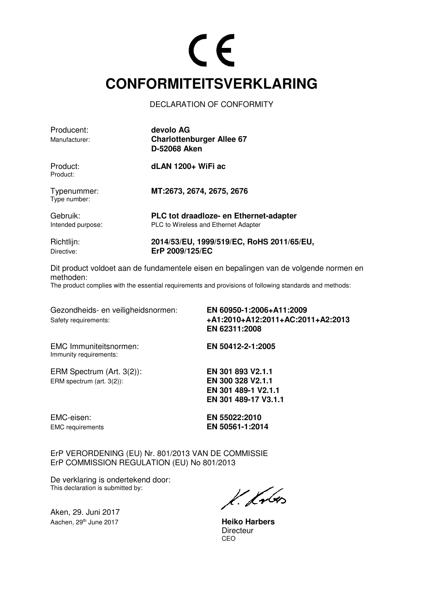#### CE **CONFORMITEITSVERKLARING**

DECLARATION OF CONFORMITY

| Producent:<br>Manufacturer:   | devolo AG<br><b>Charlottenburger Allee 67</b><br><b>D-52068 Aken</b>           |
|-------------------------------|--------------------------------------------------------------------------------|
| Product:<br>Product:          | dLAN 1200+ WiFi ac                                                             |
| Typenummer:<br>Type number:   | MT:2673, 2674, 2675, 2676                                                      |
| Gebruik:<br>Intended purpose: | PLC tot draadloze- en Ethernet-adapter<br>PLC to Wireless and Ethernet Adapter |
| Richtlijn:<br>Directive:      | 2014/53/EU, 1999/519/EC, RoHS 2011/65/EU,<br>ErP 2009/125/EC                   |

Dit product voldoet aan de fundamentele eisen en bepalingen van de volgende normen en methoden: The product complies with the essential requirements and provisions of following standards and methods:

Gezondheids- en veiligheidsnormen: **EN 60950-1:2006+A11:2009** 

Safety requirements: **+A1:2010+A12:2011+AC:2011+A2:2013 EN 62311:2008**

EMC Immuniteitsnormen: **EN 50412-2-1:2005**  Immunity requirements:

ERM Spectrum (Art. 3(2)): **EN 301 893 V2.1.1**  ERM spectrum (art. 3(2)): **EN 300 328 V2.1.1** 

**EN 301 489-1 V2.1.1 EN 301 489-17 V3.1.1**

EMC-eisen: **EN 55022:2010** EMC requirements **EN 50561-1:2014**

ErP VERORDENING (EU) Nr. 801/2013 VAN DE COMMISSIE ErP COMMISSION REGULATION (EU) No 801/2013

De verklaring is ondertekend door: This declaration is submitted by:

Aken, 29. Juni 2017 Aachen, 29th June 2017 **Heiko Harbers**

 $k$  knows

Directeur<br>CEO <u>CEO de la contrada de la contrada de la contrada de la contrada de la contrada de la contrada de la con</u>